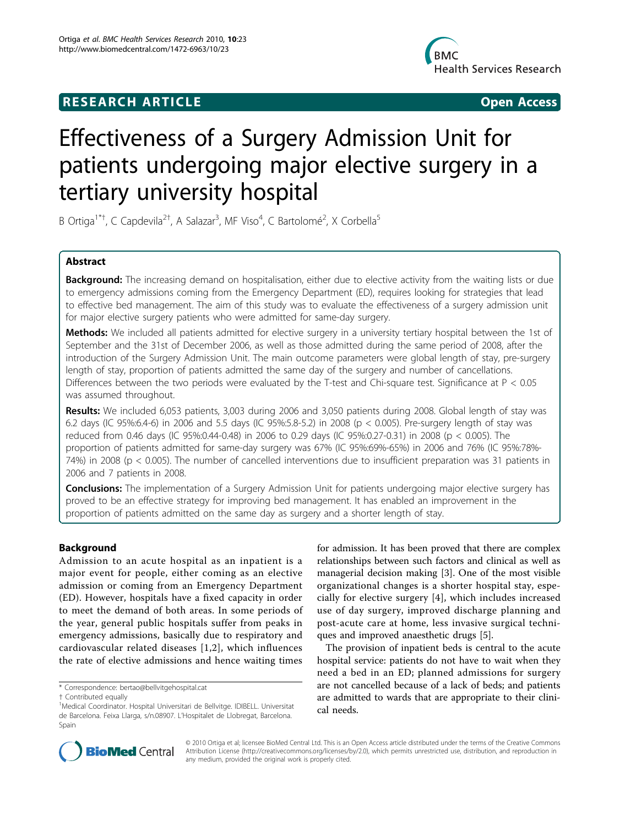## **RESEARCH ARTICLE Example 2018 Open Access**



# Effectiveness of a Surgery Admission Unit for patients undergoing major elective surgery in a tertiary university hospital

B Ortiga<sup>1\*†</sup>, C Capdevila<sup>2†</sup>, A Salazar<sup>3</sup>, MF Viso<sup>4</sup>, C Bartolomé<sup>2</sup>, X Corbella<sup>5</sup>

## Abstract

Background: The increasing demand on hospitalisation, either due to elective activity from the waiting lists or due to emergency admissions coming from the Emergency Department (ED), requires looking for strategies that lead to effective bed management. The aim of this study was to evaluate the effectiveness of a surgery admission unit for major elective surgery patients who were admitted for same-day surgery.

Methods: We included all patients admitted for elective surgery in a university tertiary hospital between the 1st of September and the 31st of December 2006, as well as those admitted during the same period of 2008, after the introduction of the Surgery Admission Unit. The main outcome parameters were global length of stay, pre-surgery length of stay, proportion of patients admitted the same day of the surgery and number of cancellations. Differences between the two periods were evaluated by the T-test and Chi-square test. Significance at  $P < 0.05$ was assumed throughout.

Results: We included 6,053 patients, 3,003 during 2006 and 3,050 patients during 2008. Global length of stay was 6.2 days (IC 95%:6.4-6) in 2006 and 5.5 days (IC 95%:5.8-5.2) in 2008 (p < 0.005). Pre-surgery length of stay was reduced from 0.46 days (IC 95%:0.44-0.48) in 2006 to 0.29 days (IC 95%:0.27-0.31) in 2008 (p < 0.005). The proportion of patients admitted for same-day surgery was 67% (IC 95%:69%-65%) in 2006 and 76% (IC 95%:78%- 74%) in 2008 (p < 0.005). The number of cancelled interventions due to insufficient preparation was 31 patients in 2006 and 7 patients in 2008.

**Conclusions:** The implementation of a Surgery Admission Unit for patients undergoing major elective surgery has proved to be an effective strategy for improving bed management. It has enabled an improvement in the proportion of patients admitted on the same day as surgery and a shorter length of stay.

## Background

Admission to an acute hospital as an inpatient is a major event for people, either coming as an elective admission or coming from an Emergency Department (ED). However, hospitals have a fixed capacity in order to meet the demand of both areas. In some periods of the year, general public hospitals suffer from peaks in emergency admissions, basically due to respiratory and cardiovascular related diseases [[1](#page-3-0),[2\]](#page-3-0), which influences the rate of elective admissions and hence waiting times

\* Correspondence: [bertao@bellvitgehospital.cat](mailto:bertao@bellvitgehospital.cat)

for admission. It has been proved that there are complex relationships between such factors and clinical as well as managerial decision making [[3\]](#page-3-0). One of the most visible organizational changes is a shorter hospital stay, especially for elective surgery [\[4](#page-3-0)], which includes increased use of day surgery, improved discharge planning and post-acute care at home, less invasive surgical techniques and improved anaesthetic drugs [\[5\]](#page-3-0).

The provision of inpatient beds is central to the acute hospital service: patients do not have to wait when they need a bed in an ED; planned admissions for surgery are not cancelled because of a lack of beds; and patients are admitted to wards that are appropriate to their clinical needs.



© 2010 Ortiga et al; licensee BioMed Central Ltd. This is an Open Access article distributed under the terms of the Creative Commons Attribution License [\(http://creativecommons.org/licenses/by/2.0](http://creativecommons.org/licenses/by/2.0)), which permits unrestricted use, distribution, and reproduction in any medium, provided the original work is properly cited.

<sup>†</sup> Contributed equally <sup>1</sup>

<sup>&</sup>lt;sup>1</sup>Medical Coordinator. Hospital Universitari de Bellvitge. IDIBELL. Universitat de Barcelona. Feixa Llarga, s/n.08907. L'Hospitalet de Llobregat, Barcelona. Spain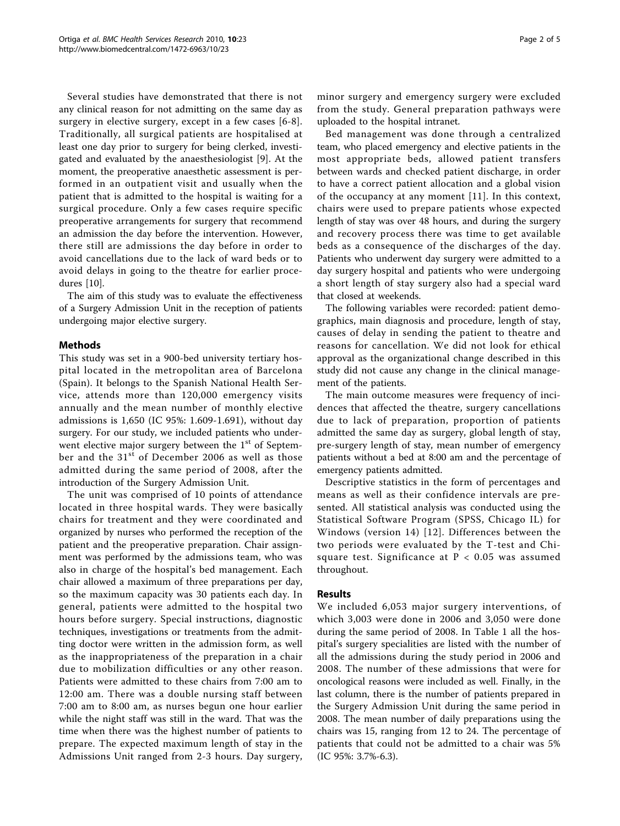Several studies have demonstrated that there is not any clinical reason for not admitting on the same day as surgery in elective surgery, except in a few cases [\[6](#page-4-0)-[8](#page-4-0)]. Traditionally, all surgical patients are hospitalised at least one day prior to surgery for being clerked, investigated and evaluated by the anaesthesiologist [[9\]](#page-4-0). At the moment, the preoperative anaesthetic assessment is performed in an outpatient visit and usually when the patient that is admitted to the hospital is waiting for a surgical procedure. Only a few cases require specific preoperative arrangements for surgery that recommend an admission the day before the intervention. However, there still are admissions the day before in order to avoid cancellations due to the lack of ward beds or to avoid delays in going to the theatre for earlier procedures [\[10](#page-4-0)].

The aim of this study was to evaluate the effectiveness of a Surgery Admission Unit in the reception of patients undergoing major elective surgery.

## Methods

This study was set in a 900-bed university tertiary hospital located in the metropolitan area of Barcelona (Spain). It belongs to the Spanish National Health Service, attends more than 120,000 emergency visits annually and the mean number of monthly elective admissions is 1,650 (IC 95%: 1.609-1.691), without day surgery. For our study, we included patients who underwent elective major surgery between the  $1<sup>st</sup>$  of September and the  $31<sup>st</sup>$  of December 2006 as well as those admitted during the same period of 2008, after the introduction of the Surgery Admission Unit.

The unit was comprised of 10 points of attendance located in three hospital wards. They were basically chairs for treatment and they were coordinated and organized by nurses who performed the reception of the patient and the preoperative preparation. Chair assignment was performed by the admissions team, who was also in charge of the hospital's bed management. Each chair allowed a maximum of three preparations per day, so the maximum capacity was 30 patients each day. In general, patients were admitted to the hospital two hours before surgery. Special instructions, diagnostic techniques, investigations or treatments from the admitting doctor were written in the admission form, as well as the inappropriateness of the preparation in a chair due to mobilization difficulties or any other reason. Patients were admitted to these chairs from 7:00 am to 12:00 am. There was a double nursing staff between 7:00 am to 8:00 am, as nurses begun one hour earlier while the night staff was still in the ward. That was the time when there was the highest number of patients to prepare. The expected maximum length of stay in the Admissions Unit ranged from 2-3 hours. Day surgery, minor surgery and emergency surgery were excluded from the study. General preparation pathways were uploaded to the hospital intranet.

Bed management was done through a centralized team, who placed emergency and elective patients in the most appropriate beds, allowed patient transfers between wards and checked patient discharge, in order to have a correct patient allocation and a global vision of the occupancy at any moment [[11\]](#page-4-0). In this context, chairs were used to prepare patients whose expected length of stay was over 48 hours, and during the surgery and recovery process there was time to get available beds as a consequence of the discharges of the day. Patients who underwent day surgery were admitted to a day surgery hospital and patients who were undergoing a short length of stay surgery also had a special ward that closed at weekends.

The following variables were recorded: patient demographics, main diagnosis and procedure, length of stay, causes of delay in sending the patient to theatre and reasons for cancellation. We did not look for ethical approval as the organizational change described in this study did not cause any change in the clinical management of the patients.

The main outcome measures were frequency of incidences that affected the theatre, surgery cancellations due to lack of preparation, proportion of patients admitted the same day as surgery, global length of stay, pre-surgery length of stay, mean number of emergency patients without a bed at 8:00 am and the percentage of emergency patients admitted.

Descriptive statistics in the form of percentages and means as well as their confidence intervals are presented. All statistical analysis was conducted using the Statistical Software Program (SPSS, Chicago IL) for Windows (version 14) [[12](#page-4-0)]. Differences between the two periods were evaluated by the T-test and Chisquare test. Significance at  $P < 0.05$  was assumed throughout.

## Results

We included 6,053 major surgery interventions, of which 3,003 were done in 2006 and 3,050 were done during the same period of 2008. In Table [1](#page-2-0) all the hospital's surgery specialities are listed with the number of all the admissions during the study period in 2006 and 2008. The number of these admissions that were for oncological reasons were included as well. Finally, in the last column, there is the number of patients prepared in the Surgery Admission Unit during the same period in 2008. The mean number of daily preparations using the chairs was 15, ranging from 12 to 24. The percentage of patients that could not be admitted to a chair was 5% (IC 95%: 3.7%-6.3).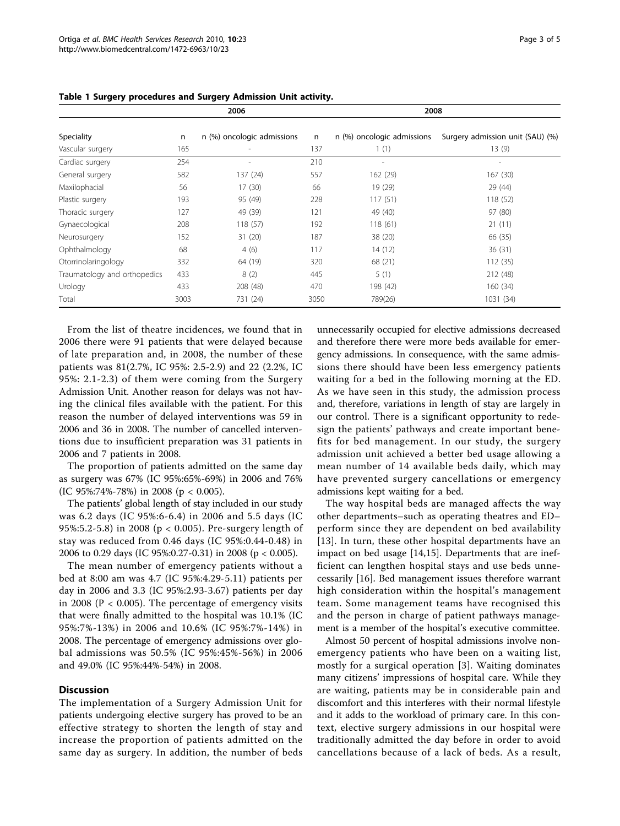| Speciality                   | 2006 |                            |      | 2008                       |                                  |  |
|------------------------------|------|----------------------------|------|----------------------------|----------------------------------|--|
|                              | n    | n (%) oncologic admissions | n    | n (%) oncologic admissions | Surgery admission unit (SAU) (%) |  |
| Vascular surgery             | 165  |                            | 137  | 1(1)                       | 13(9)                            |  |
| Cardiac surgery              | 254  | $\overline{\phantom{a}}$   | 210  | $\overline{\phantom{a}}$   | $\overline{\phantom{a}}$         |  |
| General surgery              | 582  | 137 (24)                   | 557  | 162 (29)                   | 167(30)                          |  |
| Maxilophacial                | 56   | 17(30)                     | 66   | 19 (29)                    | 29 (44)                          |  |
| Plastic surgery              | 193  | 95 (49)                    | 228  | 117(51)                    | 118 (52)                         |  |
| Thoracic surgery             | 127  | 49 (39)                    | 121  | 49 (40)                    | 97 (80)                          |  |
| Gynaecological               | 208  | 118(57)                    | 192  | 118(61)                    | 21(11)                           |  |
| Neurosurgery                 | 152  | 31(20)                     | 187  | 38 (20)                    | 66 (35)                          |  |
| Ophthalmology                | 68   | 4(6)                       | 117  | 14(12)                     | 36 (31)                          |  |
| Otorrinolaringology          | 332  | 64 (19)                    | 320  | 68 (21)                    | 112(35)                          |  |
| Traumatology and orthopedics | 433  | 8(2)                       | 445  | 5(1)                       | 212 (48)                         |  |
| Urology                      | 433  | 208 (48)                   | 470  | 198 (42)                   | 160(34)                          |  |
| Total                        | 3003 | 731 (24)                   | 3050 | 789(26)                    | 1031 (34)                        |  |

<span id="page-2-0"></span>Table 1 Surgery procedures and Surgery Admission Unit activity.

From the list of theatre incidences, we found that in 2006 there were 91 patients that were delayed because of late preparation and, in 2008, the number of these patients was 81(2.7%, IC 95%: 2.5-2.9) and 22 (2.2%, IC 95%: 2.1-2.3) of them were coming from the Surgery Admission Unit. Another reason for delays was not having the clinical files available with the patient. For this reason the number of delayed interventions was 59 in 2006 and 36 in 2008. The number of cancelled interventions due to insufficient preparation was 31 patients in 2006 and 7 patients in 2008.

The proportion of patients admitted on the same day as surgery was 67% (IC 95%:65%-69%) in 2006 and 76% (IC 95%:74%-78%) in 2008 (p < 0.005).

The patients' global length of stay included in our study was 6.2 days (IC 95%:6-6.4) in 2006 and 5.5 days (IC 95%:5.2-5.8) in 2008 (p < 0.005). Pre-surgery length of stay was reduced from 0.46 days (IC 95%:0.44-0.48) in 2006 to 0.29 days (IC 95%:0.27-0.31) in 2008 (p < 0.005).

The mean number of emergency patients without a bed at 8:00 am was 4.7 (IC 95%:4.29-5.11) patients per day in 2006 and 3.3 (IC 95%:2.93-3.67) patients per day in 2008 ( $P < 0.005$ ). The percentage of emergency visits that were finally admitted to the hospital was 10.1% (IC 95%:7%-13%) in 2006 and 10.6% (IC 95%:7%-14%) in 2008. The percentage of emergency admissions over global admissions was 50.5% (IC 95%:45%-56%) in 2006 and 49.0% (IC 95%:44%-54%) in 2008.

## **Discussion**

The implementation of a Surgery Admission Unit for patients undergoing elective surgery has proved to be an effective strategy to shorten the length of stay and increase the proportion of patients admitted on the same day as surgery. In addition, the number of beds

unnecessarily occupied for elective admissions decreased and therefore there were more beds available for emergency admissions. In consequence, with the same admissions there should have been less emergency patients waiting for a bed in the following morning at the ED. As we have seen in this study, the admission process and, therefore, variations in length of stay are largely in our control. There is a significant opportunity to redesign the patients' pathways and create important benefits for bed management. In our study, the surgery admission unit achieved a better bed usage allowing a mean number of 14 available beds daily, which may have prevented surgery cancellations or emergency admissions kept waiting for a bed.

The way hospital beds are managed affects the way other departments–such as operating theatres and ED– perform since they are dependent on bed availability [[13](#page-4-0)]. In turn, these other hospital departments have an impact on bed usage [\[14,15](#page-4-0)]. Departments that are inefficient can lengthen hospital stays and use beds unnecessarily [\[16](#page-4-0)]. Bed management issues therefore warrant high consideration within the hospital's management team. Some management teams have recognised this and the person in charge of patient pathways management is a member of the hospital's executive committee.

Almost 50 percent of hospital admissions involve nonemergency patients who have been on a waiting list, mostly for a surgical operation [[3\]](#page-3-0). Waiting dominates many citizens' impressions of hospital care. While they are waiting, patients may be in considerable pain and discomfort and this interferes with their normal lifestyle and it adds to the workload of primary care. In this context, elective surgery admissions in our hospital were traditionally admitted the day before in order to avoid cancellations because of a lack of beds. As a result,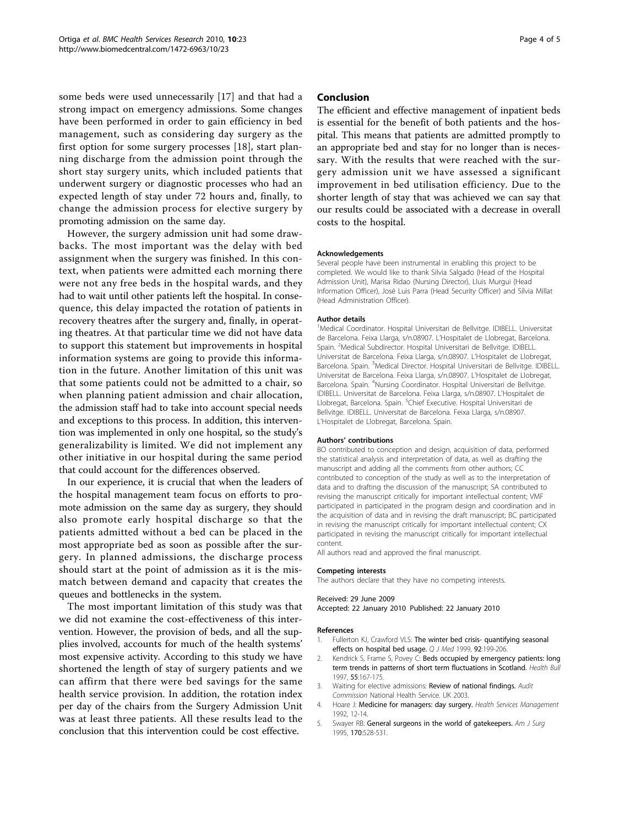<span id="page-3-0"></span>some beds were used unnecessarily [\[17](#page-4-0)] and that had a strong impact on emergency admissions. Some changes have been performed in order to gain efficiency in bed management, such as considering day surgery as the first option for some surgery processes [[18\]](#page-4-0), start planning discharge from the admission point through the short stay surgery units, which included patients that underwent surgery or diagnostic processes who had an expected length of stay under 72 hours and, finally, to change the admission process for elective surgery by promoting admission on the same day.

However, the surgery admission unit had some drawbacks. The most important was the delay with bed assignment when the surgery was finished. In this context, when patients were admitted each morning there were not any free beds in the hospital wards, and they had to wait until other patients left the hospital. In consequence, this delay impacted the rotation of patients in recovery theatres after the surgery and, finally, in operating theatres. At that particular time we did not have data to support this statement but improvements in hospital information systems are going to provide this information in the future. Another limitation of this unit was that some patients could not be admitted to a chair, so when planning patient admission and chair allocation, the admission staff had to take into account special needs and exceptions to this process. In addition, this intervention was implemented in only one hospital, so the study's generalizability is limited. We did not implement any other initiative in our hospital during the same period that could account for the differences observed.

In our experience, it is crucial that when the leaders of the hospital management team focus on efforts to promote admission on the same day as surgery, they should also promote early hospital discharge so that the patients admitted without a bed can be placed in the most appropriate bed as soon as possible after the surgery. In planned admissions, the discharge process should start at the point of admission as it is the mismatch between demand and capacity that creates the queues and bottlenecks in the system.

The most important limitation of this study was that we did not examine the cost-effectiveness of this intervention. However, the provision of beds, and all the supplies involved, accounts for much of the health systems' most expensive activity. According to this study we have shortened the length of stay of surgery patients and we can affirm that there were bed savings for the same health service provision. In addition, the rotation index per day of the chairs from the Surgery Admission Unit was at least three patients. All these results lead to the conclusion that this intervention could be cost effective.

## Conclusion

The efficient and effective management of inpatient beds is essential for the benefit of both patients and the hospital. This means that patients are admitted promptly to an appropriate bed and stay for no longer than is necessary. With the results that were reached with the surgery admission unit we have assessed a significant improvement in bed utilisation efficiency. Due to the shorter length of stay that was achieved we can say that our results could be associated with a decrease in overall costs to the hospital.

#### Acknowledgements

Several people have been instrumental in enabling this project to be completed. We would like to thank Silvia Salgado (Head of the Hospital Admission Unit), Marisa Ridao (Nursing Director), Lluis Murgui (Head Information Officer), José Luis Parra (Head Security Officer) and Sílvia Millat (Head Administration Officer).

#### Author details

<sup>1</sup>Medical Coordinator. Hospital Universitari de Bellvitge. IDIBELL. Universitat de Barcelona. Feixa Llarga, s/n.08907. L'Hospitalet de Llobregat, Barcelona. Spain. <sup>2</sup>Medical Subdirector. Hospital Universitari de Bellvitge. IDIBELL Universitat de Barcelona. Feixa Llarga, s/n.08907. L'Hospitalet de Llobregat, Barcelona. Spain. <sup>3</sup>Medical Director. Hospital Universitari de Bellvitge. IDIBELL Universitat de Barcelona. Feixa Llarga, s/n.08907. L'Hospitalet de Llobregat, Barcelona. Spain. <sup>4</sup>Nursing Coordinator. Hospital Universitari de Bellvitge IDIBELL. Universitat de Barcelona. Feixa Llarga, s/n.08907. L'Hospitalet de Llobregat, Barcelona. Spain. <sup>5</sup>Chief Executive. Hospital Universitari de Bellvitge. IDIBELL. Universitat de Barcelona. Feixa Llarga, s/n.08907. L'Hospitalet de Llobregat, Barcelona. Spain.

#### Authors' contributions

BO contributed to conception and design, acquisition of data, performed the statistical analysis and interpretation of data, as well as drafting the manuscript and adding all the comments from other authors; CC contributed to conception of the study as well as to the interpretation of data and to drafting the discussion of the manuscript; SA contributed to revising the manuscript critically for important intellectual content; VMF participated in participated in the program design and coordination and in the acquisition of data and in revising the draft manuscript; BC participated in revising the manuscript critically for important intellectual content; CX participated in revising the manuscript critically for important intellectual content.

## All authors read and approved the final manuscript.

#### Competing interests

The authors declare that they have no competing interests.

#### Received: 29 June 2009

Accepted: 22 January 2010 Published: 22 January 2010

#### References

- 1. Fullerton KJ, Crawford VLS: The winter bed crisis- quantifying seasonal effects on hospital bed usage. Q J Med 1999, 92:199-206.
- 2. Kendrick S, Frame S, Povey C: Beds occupied by emergency patients: long term trends in patterns of short term fluctuations in Scotland. Health Bull 1997, 55:167-175.
- 3. Waiting for elective admissions: Review of national findings. Audit Commission National Health Service. UK 2003.
- 4. Hoare J: [Medicine for managers: day surgery.](http://www.ncbi.nlm.nih.gov/pubmed/10171051?dopt=Abstract) Health Services Management 1992, 12-14.
- 5. Swayer RB: [General surgeons in the world of gatekeepers.](http://www.ncbi.nlm.nih.gov/pubmed/7491994?dopt=Abstract) Am J Surg 1995, 170:528-531.